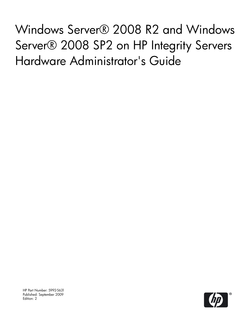Windows Server® 2008 R2 and Windows Server® 2008 SP2 on HP Integrity Servers Hardware Administrator's Guide

HP Part Number: 5992-5631 Published: September 2009 Edition: 2

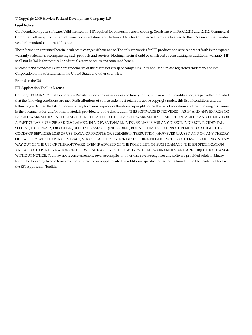© Copyright 2009 Hewlett-Packard Development Company, L.P.

#### Legal Notices

Confidential computer software. Valid license from HP required for possession, use or copying. Consistent with FAR 12.211 and 12.212, Commercial Computer Software, Computer Software Documentation, and Technical Data for Commercial Items are licensed to the U.S. Government under vendor's standard commercial license.

The information contained herein is subject to change without notice. The only warranties for HP products and services are set forth in the express warranty statements accompanying such products and services. Nothing herein should be construed as constituting an additional warranty. HP shall not be liable for technical or editorial errors or omissions contained herein

Microsoft and Windows Server are trademarks of the Microsoft group of companies. Intel and Itanium are registered trademarks of Intel Corporation or its subsidiaries in the United States and other countries.

Printed in the US

#### **EFI Application Toolkit License**

Copyright © 1998-2007 Intel Corporation Redistribution and use in source and binary forms, with or without modification, are permitted provided that the following conditions are met: Redistributions of source code must retain the above copyright notice, this list of conditions and the following disclaimer. Redistributions in binary form mustreproduce the above copyright notice, this list of conditions and the following disclaimer in the documentation and/or other materials provided with the distribution. THIS SOFTWARE IS PROVIDED ``AS IS'' AND ANY EXPRESS OR IMPLIED WARRANTIES, INCLUDING, BUT NOT LIMITED TO, THE IMPLIED WARRANTIES OF MERCHANTABILITY AND FITNESS FOR A PARTICULAR PURPOSE ARE DISCLAIMED. IN NO EVENT SHALL INTEL BE LIABLE FOR ANY DIRECT, INDIRECT, INCIDENTAL, SPECIAL, EXEMPLARY, OR CONSEQUENTIAL DAMAGES (INCLUDING, BUT NOT LIMITED TO, PROCUREMENT OF SUBSTITUTE GOODS OR SERVICES; LOSS OF USE, DATA, OR PROFITS; OR BUSINESS INTERRUPTION) HOWEVER CAUSED AND ON ANY THEORY OF LIABILITY, WHETHER IN CONTRACT, STRICT LIABILITY, OR TORT (INCLUDING NEGLIGENCE OR OTHERWISE) ARISING IN ANY WAY OUT OF THE USE OF THIS SOFTWARE, EVEN IF ADVISED OF THE POSSIBILITY OF SUCH DAMAGE. THE EFI SPECIFICATION AND ALL OTHER INFORMATION ON THIS WEB SITE ARE PROVIDED "AS IS" WITH NO WARRANTIES, AND ARE SUBJECT TO CHANGE WITHOUT NOTICE. You may not reverse-assemble, reverse-compile, or otherwise reverse-engineer any software provided solely in binary form. The foregoing license terms may be superseded or supplemented by additional specific license terms found in the file headers of files in the EFI Application Toolkit.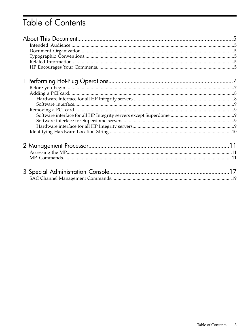# **Table of Contents**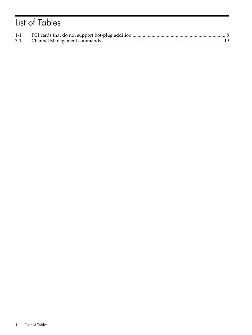# List of Tables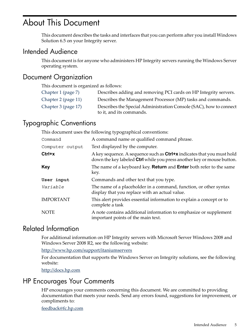## <span id="page-4-0"></span>About This Document

<span id="page-4-1"></span>This document describes the tasks and interfaces that you can perform after you install Windows Solution 6.5 on your Integrity server.

### Intended Audience

<span id="page-4-2"></span>This document is for anyone who administers HP Integrity servers running the Windows Server operating system.

## Document Organization

This document is organized as follows:

<span id="page-4-3"></span>

| Chapter 1 (page 7)  | Describes adding and removing PCI cards on HP Integrity servers.                               |
|---------------------|------------------------------------------------------------------------------------------------|
| Chapter 2 (page 11) | Describes the Management Processor (MP) tasks and commands.                                    |
| Chapter 3 (page 17) | Describes the Special Administration Console (SAC), how to connect<br>to it, and its commands. |

## Typographic Conventions

This document uses the following typographical conventions:

| Command          | A command name or qualified command phrase.                                                                                                             |
|------------------|---------------------------------------------------------------------------------------------------------------------------------------------------------|
| Computer output  | Text displayed by the computer.                                                                                                                         |
| $Ctrl+x$         | A key sequence. A sequence such as <b>Ctrl+x</b> indicates that you must hold<br>down the key labeled Ctrl while you press another key or mouse button. |
| <b>Key</b>       | The name of a keyboard key. <b>Return</b> and <b>Enter</b> both refer to the same<br>key.                                                               |
| User input       | Commands and other text that you type.                                                                                                                  |
| Variable         | The name of a placeholder in a command, function, or other syntax<br>display that you replace with an actual value.                                     |
| <b>IMPORTANT</b> | This alert provides essential information to explain a concept or to<br>complete a task                                                                 |
| <b>NOTE</b>      | A note contains additional information to emphasize or supplement<br>important points of the main text.                                                 |

## <span id="page-4-4"></span>Related Information

For additional information on HP Integrity servers with Microsoft Server Windows 2008 and Windows Server 2008 R2, see the following website:

<span id="page-4-5"></span><http://www.hp.com/support/itaniumservers>

For documentation that supports the Windows Server on Integrity solutions, see the following website:

<http://docs.hp.com>

## HP Encourages Your Comments

HP encourages your comments concerning this document. We are committed to providing documentation that meets your needs. Send any errors found, suggestions for improvement, or compliments to:

<feedback@fc.hp.com>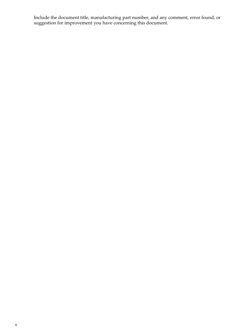Include the document title, manufacturing part number, and any comment, error found, or suggestion for improvement you have concerning this document.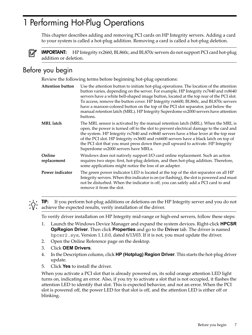## <span id="page-6-0"></span>1 Performing Hot-Plug Operations

This chapter describes adding and removing PCI cards on HP Integrity servers. Adding a card to your system is called a hot-plug addition. Removing a card is called a hot-plug deletion.



<span id="page-6-1"></span>IMPORTANT: HP Integrity rx2660, BL860c, and BL870c servers do not support PCI card hot-plug addition or deletion.

## Before you begin

Review the following terms before beginning hot-plug operations:

| <b>Attention button</b> | Use the attention button to initiate hot-plug operations. The location of the attention<br>button varies, depending on the server. For example, HP Integrity rx7640 and rx8640<br>servers have a white bell-shaped image button, located at the top rear of the PCI slot.<br>To access, remove the button cover. HP Integrity rx6600, BL860c, and BL870c servers<br>have a maroon-colored button on the top of the PCI slot separator, just below the<br>manual retention latch (MRL). HP Integrity Superdome sx2000 servers have attention<br>buttons. |
|-------------------------|---------------------------------------------------------------------------------------------------------------------------------------------------------------------------------------------------------------------------------------------------------------------------------------------------------------------------------------------------------------------------------------------------------------------------------------------------------------------------------------------------------------------------------------------------------|
| <b>MRL</b> latch        | The MRL sensor is activated by the manual retention latch (MRL). When the MRL is<br>open, the power is turned off to the slot to prevent electrical damage to the card and<br>the system. HP Integrity rx7640 and rx8640 servers have a blue lever at the top rear<br>of the PCI slot. HP Integrity rx3600 and rx6600 servers have a black latch on top of<br>the PCI slot that you must press down then pull upward to activate. HP Integrity<br>Superdome sx2000 servers have MRLs.                                                                   |
| Online<br>replacement   | Windows does not natively support I/O card online replacement. Such an action<br>requires two steps: first, hot-plug deletion, and then hot-plug addition. Therefore,<br>some applications might notice the loss of an adapter.                                                                                                                                                                                                                                                                                                                         |
| Power indicator         | The green power indicator LED is located at the top of the slot separator on all HP<br>Integrity servers. When this indicator is on (or flashing), the slot is powered and must<br>not be disturbed. When the indicator is off, you can safely add a PCI card to and<br>remove it from the slot.                                                                                                                                                                                                                                                        |

**TIP:** If you perform hot-plug additions or deletions on the HP Integrity server and you do not achieve the expected results, verify installation of the driver.

To verify driver installation on HP Integrity mid-range or high-end servers, follow these steps:

- 1. Launch the Windows Device Manager and expand the system devices. Right-click **HPCSR OpRegion Driver**. Then click **Properties** and go to the **Driver** tab. The driver is named hpcsr2.sys, Version 1.1.0.0, dated  $6/13/03$ . If it is not, you must update the driver.
- 2. Open the Online Reference page on the desktop.
- 3. Click **OEM Drivers**.
- 4. In the Description column, click **HP (Hotplug) Region Driver**. This starts the hot-plug driver update.
- 5. Click **Yes** to install the driver.

When you activate a PCI slot that is already powered on, its solid orange attention LED light turns on, indicating an error. Also, if you try to activate a slot that is not occupied, it flashes the attention LED to identify that slot. This is expected behavior, and not an error. When the PCI slot is powered off, the power LED for that slot is off, and the attention LED is either off or blinking.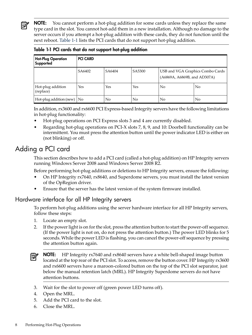**NOTE:** You cannot perform a hot-plug addition for some cards unless they replace the same type card in the slot. You cannot hot-add them in a new installation. Although no damage to the server occurs if you attempt a hot-plug addition with these cards, they do not function until the next reboot. [Table](#page-7-2) 1-1 lists the PCI cards that do not support hot-plug addition.

| <b>Hot-Plug Operation</b><br>Supported | <b>PCI CARD</b> |                |        |                                                                  |    |
|----------------------------------------|-----------------|----------------|--------|------------------------------------------------------------------|----|
|                                        | SA6402          | SA6404         | SA5300 | USB and VGA Graphics Combo Cards<br>(A6869A, A6869B, and AD307A) |    |
| Hot-plug addition<br>(replace)         | Yes             | Yes            | Yes    | No                                                               | No |
| Hot-plug addition (new) $\vert$ No     |                 | N <sub>0</sub> | No     | No                                                               | No |

<span id="page-7-2"></span>Table 1-1 PCI cards that do not support hot-plug addition

In addition, rx3600 and rx6600 PCI Express-based Integrity servers have the following limitations in hot-plug functionality:

- Hot-plug operations on PCI Express slots 3 and 4 are currently disabled.
- <span id="page-7-0"></span>• Regarding hot-plug operations on PCI-X slots 7, 8, 9, and 10: Doorbell functionality can be intermittent. You must press the attention button until the power indicator LED is either on (not blinking) or off.

## Adding a PCI card

This section describes how to add a PCI card (called a hot-plug addition) on HP Integrity servers running Windows Server 2008 aand Windows Server 2008 R2.

Before performing hot-plug additions or deletions to HP Integrity servers, ensure the following:

- <span id="page-7-1"></span>• On HP Integrity rx7640, rx8640, and Superdome servers, you must install the latest version of the OpRegion driver.
- Ensure that the server has the latest version of the system firmware installed.

### Hardware interface for all HP Integrity servers

To perform hot-plug additions using the server hardware interface for all HP Integrity servers, follow these steps:

- 1. Locate an empty slot.
- 2. If the power light is on for the slot, press the attention button to start the power-off sequence. (If the power light is not on, do not press the attention button.) The power LED blinks for 5 seconds. While the power LED is flashing, you can cancel the power-off sequence by pressing the attention button again.

**NOTE:** HP Integrity rx7640 and rx8640 servers have a white bell-shaped image button  $\mathbb{Z}$ located at the top rear of the PCI slot. To access, remove the button cover. HP Integrity rx3600 and rx6600 servers have a maroon-colored button on the top of the PCI slot separator, just below the manual retention latch (MRL). HP Integrity Superdome servers do not have attention buttons.

- 3. Wait for the slot to power off (green power LED turns off).
- 4. Open the MRL.
- 5. Add the PCI card to the slot.
- 6. Close the MRL.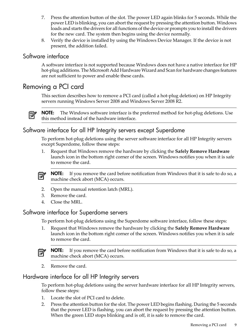- 7. Press the attention button of the slot. The power LED again blinks for 5 seconds. While the power LED is blinking, you can abort the request by pressing the attention button. Windows loads and starts the drivers for all functions of the device or prompts you to install the drivers for the new card. The system then begins using the device normally.
- <span id="page-8-0"></span>8. Verify the device is installed by using the Windows Device Manager. If the device is not present, the addition failed.

### Software interface

<span id="page-8-1"></span>A software interface is not supported because Windows does not have a native interface for HP hot-plug additions. The Microsoft Add Hardware Wizard and Scan for hardware changes features are not sufficient to power and enable these cards.

## Removing a PCI card

This section describes how to remove a PCI card (called a hot-plug deletion) on HP Integrity servers running Windows Server 2008 and Windows Server 2008 R2.



<span id="page-8-2"></span>**NOTE:** The Windows software interface is the preferred method for hot-plug deletions. Use this method instead of the hardware interface.

### Software interface for all HP Integrity servers except Superdome

To perform hot-plug deletions using the server software interface for all HP Integrity servers except Superdome, follow these steps:

1. Request that Windows remove the hardware by clicking the **Safely Remove Hardware** launch icon in the bottom right corner of the screen. Windows notifies you when it is safe to remove the card.



**NOTE:** If you remove the card before notification from Windows that it is safe to do so, a machine check abort (MCA) occurs.

- <span id="page-8-3"></span>2. Open the manual retention latch (MRL).
- 3. Remove the card.
- 4. Close the MRL.

### Software interface for Superdome servers

To perform hot-plug deletions using the Superdome software interface, follow these steps:

1. Request that Windows remove the hardware by clicking the **Safely Remove Hardware** launch icon in the bottom right corner of the screen. Windows notifies you when it is safe to remove the card.

<span id="page-8-4"></span>

**NOTE:** If you remove the card before notification from Windows that it is safe to do so, a machine check abort (MCA) occurs.

2. Remove the card.

### Hardware interface for all HP Integrity servers

To perform hot-plug deletions using the server hardware interface for all HP Integrity servers, follow these steps:

- 1. Locate the slot of PCI card to delete.
- 2. Press the attention button for the slot. The power LED begins flashing. During the 5 seconds that the power LED is flashing, you can abort the request by pressing the attention button. When the green LED stops blinking and is off, it is safe to remove the card.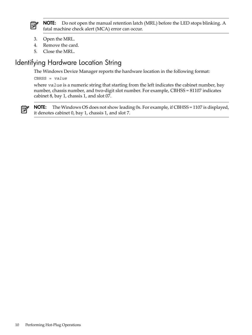

NOTE: Do not open the manual retention latch (MRL) before the LED stops blinking. A fatal machine check alert (MCA) error can occur.

- 3. Open the MRL.
- 4. Remove the card.
- <span id="page-9-0"></span>5. Close the MRL.

## Identifying Hardware Location String

The Windows Device Manager reports the hardware location in the following format:

CBHSS = *value*

where *value* is a numeric string that starting from the left indicates the cabinet number, bay number, chassis number, and two-digit slot number. For example, CBHSS = 81107 indicates cabinet 8, bay 1, chassis 1, and slot 07.



NOTE: The Windows OS does not show leading 0s. For example, if CBHSS = 1107 is displayed, it denotes cabinet 0, bay 1, chassis 1, and slot 7.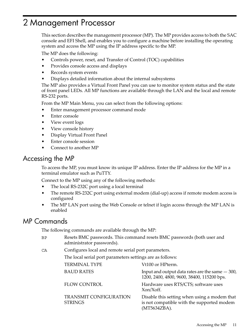## <span id="page-10-0"></span>2 Management Processor

This section describes the management processor (MP). The MP provides access to both the SAC console and EFI Shell, and enables you to configure a machine before installing the operating system and access the MP using the IP address specific to the MP.

The MP does the following:

- Controls power, reset, and Transfer of Control (TOC) capabilities
- Provides console access and displays
- Records system events
- Displays detailed information about the internal subsystems

The MP also provides a Virtual Front Panel you can use to monitor system status and the state of front panel LEDs. All MP functions are available through the LAN and the local and remote RS-232 ports.

From the MP Main Menu, you can select from the following options:

- Enter management processor command mode
- Enter console
- View event logs
- View console history
- Display Virtual Front Panel
- <span id="page-10-1"></span>Enter console session
- Connect to another MP

### Accessing the MP

To access the MP, you must know its unique IP address. Enter the IP address for the MP in a terminal emulator such as PuTTY.

Connect to the MP using any of the following methods:

- The local RS-232C port using a local terminal
- <span id="page-10-2"></span>The remote RS-232C port using external modem (dial-up) access if remote modem access is configured
- The MP LAN port using the Web Console or telnet if login access through the MP LAN is enabled

## MP Commands

The following commands are available through the MP:

- BP Resets BMC passwords. This command resets BMC passwords (both user and administrator passwords).
- CA Configures local and remote serial port parameters.

The local serial port parameters settings are as follows:

| <b>TERMINAL TYPE</b>                            | Vt100 or HPterm.                                                                                           |
|-------------------------------------------------|------------------------------------------------------------------------------------------------------------|
| <b>BAUD RATES</b>                               | Input and output data rates are the same $-300$ ,<br>1200, 2400, 4800, 9600, 38400, 115200 bps.            |
| <b>FLOW CONTROL</b>                             | Hardware uses RTS/CTS; software uses<br>Xon/Xoff.                                                          |
| <b>TRANSMIT CONFIGURATION</b><br><b>STRINGS</b> | Disable this setting when using a modem that<br>is not compatible with the supported modem<br>(MT5634ZBA). |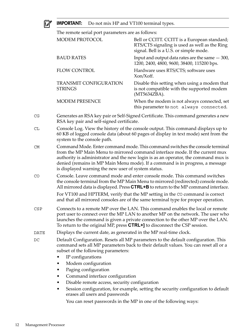

## IMPORTANT: Do not mix HP and VT100 terminal types.

The remote serial port parameters are as follows:

|      | The reflicte serial port parameters are as follows.                                                                                                                                                                                                                                                                                                                                        |                                                                                                                                                                                                                                                       |  |
|------|--------------------------------------------------------------------------------------------------------------------------------------------------------------------------------------------------------------------------------------------------------------------------------------------------------------------------------------------------------------------------------------------|-------------------------------------------------------------------------------------------------------------------------------------------------------------------------------------------------------------------------------------------------------|--|
|      | <b>MODEM PROTOCOL</b>                                                                                                                                                                                                                                                                                                                                                                      | Bell or CCITT. CCITT is a European standard;<br>RTS/CTS signaling is used as well as the Ring<br>signal. Bell is a U.S. or simple mode.                                                                                                               |  |
|      | <b>BAUD RATES</b>                                                                                                                                                                                                                                                                                                                                                                          | Input and output data rates are the same $-300$ ,<br>1200, 2400, 4800, 9600, 38400, 115200 bps.                                                                                                                                                       |  |
|      | <b>FLOW CONTROL</b>                                                                                                                                                                                                                                                                                                                                                                        | Hardware uses RTS/CTS; software uses<br>Xon/Xoff.                                                                                                                                                                                                     |  |
|      | <b>TRANSMIT CONFIGURATION</b><br><b>STRINGS</b>                                                                                                                                                                                                                                                                                                                                            | Disable this setting when using a modem that<br>is not compatible with the supported modem<br>(MT5634ZBA).                                                                                                                                            |  |
|      | <b>MODEM PRESENCE</b>                                                                                                                                                                                                                                                                                                                                                                      | When the modem is not always connected, set<br>this parameter to not always connected.                                                                                                                                                                |  |
| CG   | Generates an RSA key pair or Self-Signed Certificate. This command generates a new<br>RSA key pair and self-signed certificate.                                                                                                                                                                                                                                                            |                                                                                                                                                                                                                                                       |  |
| СL   | Console Log. View the history of the console output. This command displays up to<br>60 KB of logged console data (about 60 pages of display in text mode) sent from the<br>system to the console path.                                                                                                                                                                                     |                                                                                                                                                                                                                                                       |  |
| CM   | Command Mode. Enter command mode. This command switches the console terminal<br>from the MP Main Menu to mirrored command interface mode. If the current mux<br>authority is administrator and the new login is as an operator, the command mux is<br>denied (remains in MP Main Menu mode). If a command is in progress, a message<br>is displayed warning the new user of system status. |                                                                                                                                                                                                                                                       |  |
| CO   |                                                                                                                                                                                                                                                                                                                                                                                            | Console. Leave command mode and enter console mode. This command switches<br>the console terminal from the MP Main Menu to mirrored (redirected) console mode.<br>All mirrored data is displayed. Press CTRL+B to return to the MP command interface. |  |
|      |                                                                                                                                                                                                                                                                                                                                                                                            | For VT100 and HPTERM, verify that the MP setting in the CO command is correct<br>and that all mirrored consoles are of the same terminal type for proper operation.                                                                                   |  |
| CSP  | Connects to a remote MP over the LAN. This command enables the local or remote<br>port user to connect over the MP LAN to another MP on the network. The user who<br>launches the command is given a private connection to the other MP over the LAN.<br>To return to the original MP, press <b>CTRL+</b> ] to disconnect the CSP session.                                                 |                                                                                                                                                                                                                                                       |  |
| DATE | Displays the current date, as generated in the MP real-time clock.                                                                                                                                                                                                                                                                                                                         |                                                                                                                                                                                                                                                       |  |
| DC   | subset of the following parameters:<br>IP configurations                                                                                                                                                                                                                                                                                                                                   | Default Configuration. Resets all MP parameters to the default configuration. This<br>command sets all MP parameters back to their default values. You can reset all or a                                                                             |  |
|      | Modem configuration                                                                                                                                                                                                                                                                                                                                                                        |                                                                                                                                                                                                                                                       |  |
|      | Paging configuration                                                                                                                                                                                                                                                                                                                                                                       |                                                                                                                                                                                                                                                       |  |
|      | Command interface configuration                                                                                                                                                                                                                                                                                                                                                            |                                                                                                                                                                                                                                                       |  |
|      | Disable remote access, security configuration                                                                                                                                                                                                                                                                                                                                              |                                                                                                                                                                                                                                                       |  |
|      |                                                                                                                                                                                                                                                                                                                                                                                            | Session configuration, for example, setting the security configuration to default                                                                                                                                                                     |  |

erases all users and passwords

You can reset passwords in the MP in one of the following ways: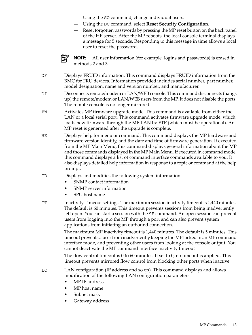- Using the SO command, change individual users.
- Using the DC command, select **Reset Security Configuration**.
- Reset forgotten passwords by pressing the MP reset button on the back panel of the HP server. After the MP reboots, the local console terminal displays a message for 5 seconds. Responding to this message in time allows a local user to reset the password.



NOTE: All user information (for example, logins and passwords) is erased in methods 2 and 3.

- DF Displays FRUID information. This command displays FRUID information from the BMC for FRU devices. Information provided includes serial number, part number, model designation, name and version number, and manufacturer.
- DI Disconnects remote/modem or LAN/WEB console. This command disconnects (hangs up) the remote/modem or LAN/WEB users from the MP. It does not disable the ports. The remote console is no longer mirrored.
- FW Activates MP firmware upgrade mode. This command is available from either the LAN or a local serial port. This command activates firmware upgrade mode, which loads new firmware through the MP LAN by FTP (which must be operational). An MP reset is generated after the upgrade is complete.
- HE Displays help for menu or command. This command displays the MP hardware and firmware version identity, and the date and time of firmware generation. If executed from the MP Main Menu, this command displays general information about the MP and those commands displayed in the MP Main Menu. If executed in command mode, this command displays a list of command interface commands available to you. It also displays detailed help information in response to a topic or command at the help prompt.
- ID Displays and modifies the following system information:
	- SNMP contact information
	- SNMP server information
	- SPU host name
- IT Inactivity Timeout settings. The maximum session inactivity timeout is 1,440 minutes. The default is 60 minutes. This timeout prevents sessions from being inadvertently left open. You can start a session with the SE command. An open session can prevent users from logging into the MP through a port and can also prevent system applications from initiating an outbound connection.

The maximum MP inactivity timeout is 1,440 minutes. The default is 5 minutes. This timeout prevents a user from inadvertently keeping the MP locked in an MP command interface mode, and preventing other users from looking at the console output. You cannot deactivate the MP command interface inactivity timeout

The flow control timeout is 0 to 60 minutes. If set to 0, no timeout is applied. This timeout prevents mirrored flow control from blocking other ports when inactive.

LC LAN configuration (IP address and so on). This command displays and allows modification of the following LAN configuration parameters:

- MP IP address
- MP host name
- Subnet mask
- Gateway address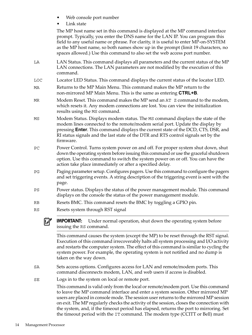- Web console port number
- Link state

The MP host name set in this command is displayed at the MP command interface prompt. Typically, you enter the DNS name for the LAN IP. You can program this field to any useful name or phrase. For clarity, it is useful to enter MP-on-SYSTEM as the MP host name, so both names show up in the prompt (limit 19 characters, no spaces allowed.) Use this command to also set the web access port number.

- LA LAN Status. This command displays all parameters and the current status of the MP LAN connections. The LAN parameters are not modified by the execution of this command.
- LOC Locator LED Status. This command displays the current status of the locator LED.
- MA Returns to the MP Main Menu. This command makes the MP return to the non-mirrored MP Main Menu. This is the same as entering **CTRL+B**.
- MR Modem Reset. This command makes the MP send an AT Z command to the modem, which resets it. Any modem connections are lost. You can view the initialization results using the MS command.
- MS Modem Status. Displays modem status. The MS command displays the state of the modem lines connected to the remote/modem serial port. Update the display by pressing **Enter**. This command displays the current state of the DCD, CTS, DSR, and RI status signals and the last state of the DTR and RTS control signals set by the firmware.
- PC Power Control. Turns system power on and off. For proper system shut down, shut down the operating system before issuing this command or use the graceful shutdown option. Use this command to switch the system power on or off. You can have the action take place immediately or after a specified delay.
- PG Paging parameter setup. Configures pagers. Use this command to configure the pagers and set triggering events. A string description of the triggering event is sent with the page.
- PS Power status. Displays the status of the power management module. This command displays on the console the status of the power management module.
- RB Resets BMC. This command resets the BMC by toggling a GPIO pin.
- RS Resets system through RST signal

IMPORTANT: Under normal operation, shut down the operating system before issuing the RS command.

This command causes the system (except the MP) to be reset through the RST signal. Execution of this command irrecoverably halts all system processing and I/O activity and restarts the computer system. The effect of this command is similar to cycling the system power. For example, the operating system is not notified and no dump is taken on the way down.

- SA Sets access options. Configures access for LAN and remote/modem ports. This command disconnects modem, LAN, and web users if access is disabled.
- SE Logs in to the system on local or remote port.

This command is valid only from the local or remote/modem port. Use this command to leave the MP command interface and enter a system session. Other mirrored MP users are placed in console mode. The session userreturns to the mirrored MP session on exit. The MP regularly checks the activity of the session, closes the connection with the system, and, if the timeout period has elapsed, returns the port to mirroring. Set the timeout period with the IT command. The modem type (CCITT or Bell) must

 $\mathbb{I}$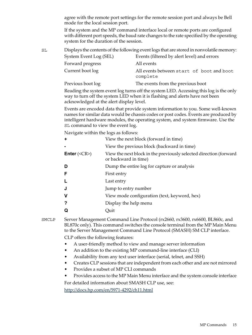agree with the remote port settings for the remote session port and always be Bell mode for the local session port.

If the system and the MP command interface local or remote ports are configured with different port speeds, the baud rate changes to the rate specified by the operating system for the duration of the session.

| SL |                        | Displays the contents of the following event logs that are stored in nonvolatile memory: |
|----|------------------------|------------------------------------------------------------------------------------------|
|    | System Event Log (SEL) | Events (filtered by alert level) and errors                                              |
|    | Forward progress       | All events                                                                               |
|    | Current boot log       | All events between start of boot and boot<br>complete                                    |
|    | Previous boot log      | The events from the previous boot                                                        |

Reading the system event log turns off the system LED. Accessing this log is the only way to turn off the system LED when it is flashing and alerts have not been acknowledged at the alert display level.

Events are encoded data that provide system information to you. Some well-known names for similar data would be chassis codes or post codes. Events are produced by intelligent hardware modules, the operating system, and system firmware. Use the SL command to view the event log.

Navigate within the logs as follows:

|                                     | View the next block (forward in time)                                                     |
|-------------------------------------|-------------------------------------------------------------------------------------------|
|                                     | View the previous block (backward in time)                                                |
| <b>Enter</b> $(\langle CR \rangle)$ | View the next block in the previously selected direction (forward<br>or backward in time) |
| D                                   | Dump the entire log for capture or analysis                                               |
|                                     | First entry                                                                               |
|                                     | Last entry                                                                                |
|                                     | Jump to entry number                                                                      |
| v                                   | View mode configuration (text, keyword, hex)                                              |
|                                     | Display the help menu                                                                     |
|                                     | Quit                                                                                      |
|                                     |                                                                                           |

SMCLP Server Management Command Line Protocol (rx2660, rx3600, rx6600, BL860c, and BL870c only). This command switches the console terminal from the MP Main Menu to the Server Management Command Line Protocol (SMASH) SM CLP interface.

CLP offers the following features:

- A user-friendly method to view and manage server information
- An addition to the existing MP command-line interface (CLI)
- Availability from any text user interface (serial, telnet, and SSH)
- Creates CLP sessions that are independent from each other and are not mirrored
- Provides a subset of MP CLI commands
- Provides access to the MP Main Menu interface and the system console interface

For detailed information about SMASH CLP use, see:

<http://docs.hp.com/en/5971-4292/ch11.html>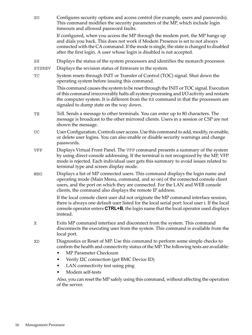| SO     | Configures security options and access control (for example, users and passwords).<br>This command modifies the security parameters of the MP, which include login<br>timeouts and allowed password faults.                                                                                                                        |
|--------|------------------------------------------------------------------------------------------------------------------------------------------------------------------------------------------------------------------------------------------------------------------------------------------------------------------------------------|
|        | If configured, when you access the MP through the modem port, the MP hangs up<br>and dials you back. This does not work if Modem Presence is set to not always<br>connected with the CA command. If the mode is single, the state is changed to disabled<br>after the first login. A user whose login is disabled is not accepted. |
| SS     | Displays the status of the system processors and identifies the monarch processor.                                                                                                                                                                                                                                                 |
| SYSREV | Displays the revision status of firmware in the system.                                                                                                                                                                                                                                                                            |
| TC     | System resets through INIT or Transfer of Control (TOC) signal. Shut down the<br>operating system before issuing this command.                                                                                                                                                                                                     |
|        | This command causes the system to be reset through the INIT or TOC signal. Execution<br>of this command irrecoverably halts all system processing and I/O activity and restarts<br>the computer system. It is different from the RS command in that the processors are<br>signaled to dump state on the way down.                  |
| TЕ     | Tell. Sends a message to other terminals. You can enter up to 80 characters. The<br>message is broadcast to the other mirrored clients. Users in a session or CSP are not<br>shown the message.                                                                                                                                    |
| UC     | User Configuration. Controls user access. Use this command to add, modify, re-enable,<br>or delete user logins. You can also enable or disable security warnings and change<br>passwords.                                                                                                                                          |
| VFP    | Displays Virtual Front Panel. The VFP command presents a summary of the system<br>by using direct console addressing. If the terminal is not recognized by the MP, VFP<br>mode is rejected. Each individual user gets this summary to avoid issues related to<br>terminal type and screen display mode.                            |
| WHO    | Displays a list of MP connected users. This command displays the login name and<br>operating mode (Main Menu, command, and so on) of the connected console client<br>users, and the port on which they are connected. For the LAN and WEB console<br>clients, the command also displays the remote IP address.                     |
|        | If the local console client user did not originate the MP command interface session,<br>there is always one default user listed for the local serial port: local user i. If the local<br>console operator enters <b>CTRL+B</b> , the login name that the local operator used displays<br>instead.                                  |
| X      | Exits MP command interface and disconnect from the system. This command<br>disconnects the executing user from the system. This command is available from the<br>local port.                                                                                                                                                       |
| ΧD     | Diagnostics or Reset of MP. Use this command to perform some simple checks to<br>confirm the health and connectivity status of the MP. The following tests are available:<br>MP Parameter Checksum                                                                                                                                 |
|        | Verify I2C connection (get BMC Device ID)<br>٠                                                                                                                                                                                                                                                                                     |
|        | LAN connectivity test using ping<br>٠                                                                                                                                                                                                                                                                                              |
|        | Modem self-tests                                                                                                                                                                                                                                                                                                                   |
|        | Also, you can reset the MP safely using this command, without affecting the operation<br>of the server.                                                                                                                                                                                                                            |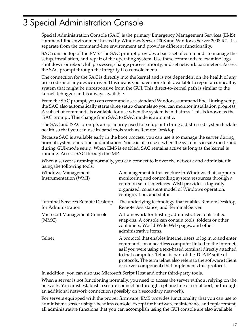## <span id="page-16-0"></span>3 Special Administration Console

Special Administration Console (SAC) is the primary Emergency Management Services (EMS) command-line environment hosted by Windows Server 2008 and Windows Server 2008 R2. It is separate from the command-line environment and provides different functionality.

SAC runs on top of the EMS. The SAC prompt provides a basic set of commands to manage the setup, installation, and repair of the operating system. Use these commands to examine logs, shut down or reboot, kill processes, change process priority, and set network parameters. Access the SAC prompt through the Integrity iLo console menu.

The connection for the SAC is directly into the kernel and is not dependent on the health of any user code or of any device driver. This means you have more tools available to repair an unhealthy system that might be unresponsive from the GUI. This direct-to-kernel path is similar to the kernel debugger and is always available.

From the SAC prompt, you can create and use a standard Windows command line. During setup, the SAC also automatically starts three setup channels so you can monitor installation progress. A subset of commands is available for use when the system is in distress. This is known as the !SAC prompt. This change from SAC to !SAC mode is automatic.

The SAC and !SAC prompts are primarily used for setup or to bring a distressed system back to health so that you can use in-band tools such as Remote Desktop.

Because SAC is available early in the boot process, you can use it to manage the server during normal system operation and initiation. You can also use it when the system is in safe mode and during GUI-mode setup. When EMS is enabled, SAC remains active as long as the kernel is running. Access SAC through the MP.

When a server is running normally, you can connect to it over the network and administer it using the following tools:

| Windows Management<br>Instrumentation (WMI)            | A management infrastructure in Windows that supports<br>monitoring and controlling system resources through a<br>common set of interfaces. WMI provides a logically<br>organized, consistent model of Windows operation,<br>configuration, and status.                                                                                                                       |
|--------------------------------------------------------|------------------------------------------------------------------------------------------------------------------------------------------------------------------------------------------------------------------------------------------------------------------------------------------------------------------------------------------------------------------------------|
| Terminal Services Remote Desktop<br>for Administration | The underlying technology that enables Remote Desktop,<br>Remote Assistance, and Terminal Server.                                                                                                                                                                                                                                                                            |
| Microsoft Management Console<br>(MMC)                  | A framework for hosting administrative tools called<br>snap-ins. A console can contain tools, folders or other<br>containers, World Wide Web pages, and other<br>administrative items.                                                                                                                                                                                       |
| Telnet                                                 | A protocol that enables Internet users to log in to and enter<br>commands on a headless computer linked to the Internet,<br>as if you were using a text-based terminal directly attached<br>to that computer. Telnet is part of the TCP/IP suite of<br>protocols. The term telnet also refers to the software (client<br>or server component) that implements this protocol. |

In addition, you can also use Microsoft Script Host and other third-party tools.

When a server is not functioning normally, you need to access the server without relying on the network. You must establish a secure connection through a phone line or serial port, or through an additional network connection (possibly on a secondary network).

For servers equipped with the proper firmware, EMS provides functionality that you can use to administer a server using a headless console. Except for hardware maintenance and replacement, all administrative functions that you can accomplish using the GUI console are also available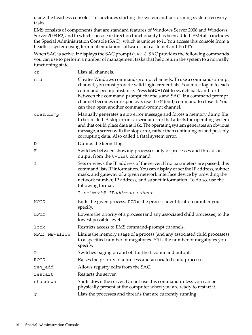using the headless console. This includes starting the system and performing system-recovery tasks.

EMS consists of components that are standard features of Windows Server 2008 and Windows Server 2008 R2, and to which console redirection functionality has been added. EMS also includes the Special Administration Console (SAC), which is unique to it. You access this console from a headless system using terminal emulation software such as telnet and PuTTY.

When SAC is active, it displays the SAC prompt (SAC>). SAC provides the following commands you can use to perform a number of management tasks that help return the system to a normally functioning state:

| ch            | Lists all channels.                                                                                                                                                                                                                                                                                                                                                                                                     |
|---------------|-------------------------------------------------------------------------------------------------------------------------------------------------------------------------------------------------------------------------------------------------------------------------------------------------------------------------------------------------------------------------------------------------------------------------|
| cmd           | Creates Windows command-prompt channels. To use a command-prompt<br>channel, you must provide valid login credentials. You must log in to each<br>command-prompt instance. Press <b>ESC+TAB</b> to switch back and forth<br>between the command prompt channels and SAC. If a command prompt<br>channel becomes unresponsive, use the K (end) command to close it. You<br>can then open another command-prompt channel. |
| crashdump     | Manually generates a stop error message and forces a memory dump file<br>to be created. A stop error is a serious error that affects the operating system<br>and that could place data at risk. The operating system generates an obvious<br>message, a screen with the stop error, rather than continuing on and possibly<br>corrupting data. Also called a fatal system error.                                        |
| D             | Dumps the kernel log.                                                                                                                                                                                                                                                                                                                                                                                                   |
| F             | Switches between showing processes only or processes and threads in<br>output from the t-list command.                                                                                                                                                                                                                                                                                                                  |
| Ι             | Sets or views the IP address of the server. If no parameters are passed, this<br>command lists IP information. You can display or set the IP address, subnet<br>mask, and gateway of a given network interface device by providing the<br>network number, IP address, and subnet information. To do so, use the<br>following format:                                                                                    |
|               | I network# IPaddress subnet                                                                                                                                                                                                                                                                                                                                                                                             |
| KPID          | Ends the given process. PID is the process identification number you<br>specify.                                                                                                                                                                                                                                                                                                                                        |
| LPID          | Lowers the priority of a process (and any associated child processes) to the<br>lowest possible level.                                                                                                                                                                                                                                                                                                                  |
| lock          | Restricts access to EMS command-prompt channels.                                                                                                                                                                                                                                                                                                                                                                        |
| MPID MB-allow | Limits the memory usage of a process (and any associated child processes)<br>to a specified number of megabytes. MB is the number of megabytes you<br>specify.                                                                                                                                                                                                                                                          |
| Ρ             | Switches paging on and off for the t command output.                                                                                                                                                                                                                                                                                                                                                                    |
| <b>RPID</b>   | Raises the priority of a process and associated child processes.                                                                                                                                                                                                                                                                                                                                                        |
| reg add       | Allows registry edits from the SAC.                                                                                                                                                                                                                                                                                                                                                                                     |
| restart       | Restarts the server.                                                                                                                                                                                                                                                                                                                                                                                                    |
| shutdown      | Shuts down the server. Do not use this command unless you can be<br>physically present at the computer when you are ready to restart it.                                                                                                                                                                                                                                                                                |
| т             | Lists the processes and threads that are currently running.                                                                                                                                                                                                                                                                                                                                                             |
|               |                                                                                                                                                                                                                                                                                                                                                                                                                         |